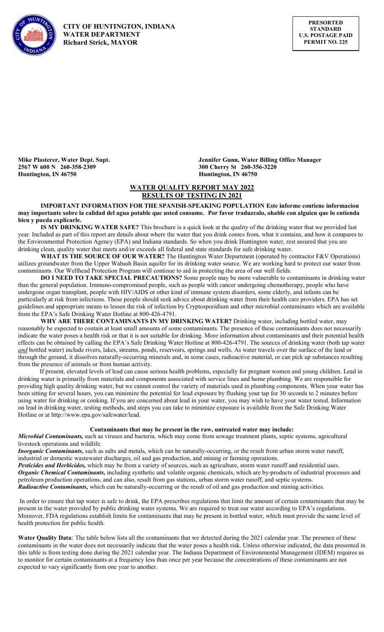

 CITY OF HUNTINGTON, INDIANA WATER DEPARTMENT Richard Strick, MAYOR

2567 W 600 N 260-358-2309 300 Cherry St 260-356-3220 Huntington, IN 46750 **Huntington, IN 46750** 

Mike Plasterer, Water Dept. Supt. Jennifer Gunn, Water Billing Office Manager

# WATER QUALITY REPORT MAY 2022 RESULTS OF TESTING IN 2021

IMPORTANT INFORMATION FOR THE SPANISH-SPEAKING POPULATION Este informe contiene informacion muy importante sobre la calidad del agua potable que usted consume. Por favor traduzcalo, ohable con alguien que lo entienda bien y pueda explicarle.

IS MY DRINKING WATER SAFE? This brochure is a quick look at the quality of the drinking water that we provided last year. Included as part of this report are details about where the water that you drink comes from, what it contains, and how it compares to the Environmental Protection Agency (EPA) and Indiana standards. So when you drink Huntington water, rest assured that you are drinking clean, quality water that meets and/or exceeds all federal and state standards for safe drinking water.

WHAT IS THE SOURCE OF OUR WATER? The Huntington Water Department (operated by contractor F&V Operations) utilizes groundwater from the Upper Wabash Basin aquifer for its drinking water source. We are working hard to protect our water from contaminants. Our Wellhead Protection Program will continue to aid in protecting the area of our well fields.

DO I NEED TO TAKE SPECIAL PRECAUTIONS? Some people may be more vulnerable to contaminants in drinking water than the general population. Immuno-compromised people, such as people with cancer undergoing chemotherapy, people who have undergone organ transplant, people with HIV/AIDS or other kind of immune system disorders, some elderly, and infants can be particularly at risk from infections. These people should seek advice about drinking water from their health care providers. EPA has set guidelines and appropriate means to lessen the risk of infection by Cryptosporidium and other microbial contaminants which are available from the EPA's Safe Drinking Water Hotline at 800-426-4791.

WHY ARE THERE CONTAMINANTS IN MY DRINKING WATER? Drinking water, including bottled water, may reasonably be expected to contain at least small amounts of some contaminants. The presence of these contaminants does not necessarily indicate the water poses a health risk or that it is not suitable for drinking. More information about contaminants and their potential health effects can be obtained by calling the EPA's Safe Drinking Water Hotline at 800-426-4791. The sources of drinking water (both tap water and bottled water) include rivers, lakes, streams, ponds, reservoirs, springs and wells. As water travels over the surface of the land or through the ground, it dissolves naturally-occurring minerals and, in some cases, radioactive material, or can pick up substances resulting from the presence of animals or from human activity.

 If present, elevated levels of lead can cause serious health problems, especially for pregnant women and young children. Lead in drinking water is primarily from materials and components associated with service lines and home plumbing. We are responsible for providing high quality drinking water, but we cannot control the variety of materials used in plumbing components. When your water has been sitting for several hours, you can minimize the potential for lead exposure by flushing your tap for 30 seconds to 2 minutes before using water for drinking or cooking. If you are concerned about lead in your water, you may wish to have your water tested. Information on lead in drinking water, testing methods, and steps you can take to minimize exposure is available from the Safe Drinking Water Hotline or at http://www.epa.gov/safewater/lead.

## Contaminants that may be present in the raw, untreated water may include:

Microbial Contaminants, such as viruses and bacteria, which may come from sewage treatment plants, septic systems, agricultural livestock operations and wildlife.

**Inorganic Contaminants**, such as salts and metals, which can be naturally-occurring, or the result from urban storm water runoff, industrial or domestic wastewater discharges, oil and gas production, and mining or farming operations.

Pesticides and Herbicides, which may be from a variety of sources, such as agriculture, storm water runoff and residential uses. Organic Chemical Contaminants, including synthetic and volatile organic chemicals, which are by-products of industrial processes and petroleum production operations, and can also, result from gas stations, urban storm water runoff, and septic systems. Radioactive Contaminants, which can be naturally-occurring or the result of oil and gas production and mining activities.

 In order to ensure that tap water is safe to drink, the EPA prescribes regulations that limit the amount of certain contaminants that may be present in the water provided by public drinking water systems. We are required to treat our water according to EPA's regulations. Moreover, FDA regulations establish limits for contaminants that may be present in bottled water, which must provide the same level of health protection for public health.

Water Quality Data: The table below lists all the contaminants that we detected during the 2021 calendar year. The presence of these contaminants in the water does not necessarily indicate that the water poses a health risk. Unless otherwise indicated, the data presented in this table is from testing done during the 2021 calendar year. The Indiana Department of Environmental Management (IDEM) requires us to monitor for certain contaminants at a frequency less than once per year because the concentrations of these contaminants are not expected to vary significantly from one year to another.